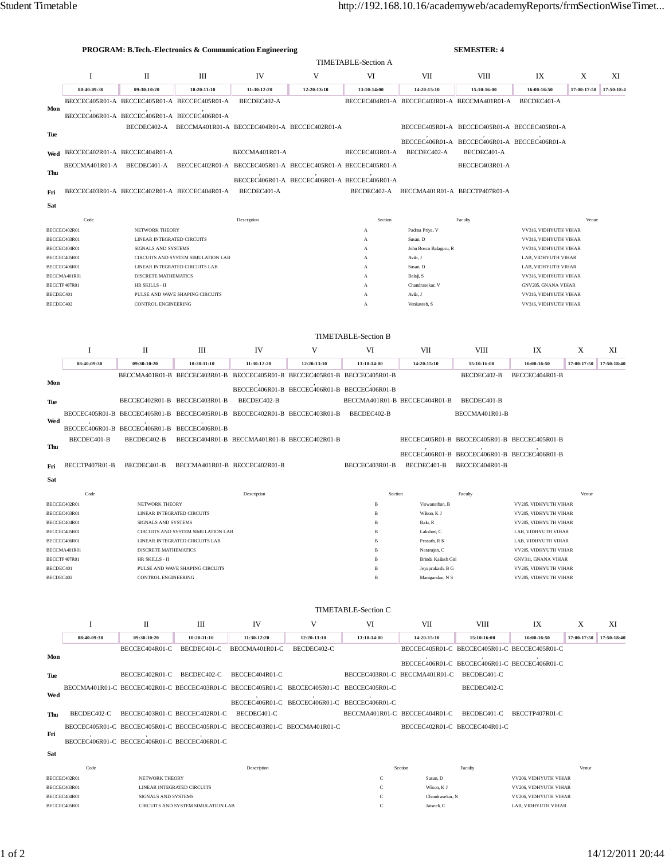|                              | <b>PROGRAM: B.Tech.-Electronics &amp; Communication Engineering</b> |                                                     |                                                                            |                                              |                                                                                           |                                                                                        |                                              | <b>SEMESTER: 4</b>                                             |                                                |             |             |  |  |
|------------------------------|---------------------------------------------------------------------|-----------------------------------------------------|----------------------------------------------------------------------------|----------------------------------------------|-------------------------------------------------------------------------------------------|----------------------------------------------------------------------------------------|----------------------------------------------|----------------------------------------------------------------|------------------------------------------------|-------------|-------------|--|--|
|                              |                                                                     |                                                     |                                                                            |                                              |                                                                                           |                                                                                        | <b>TIMETABLE-Section A</b>                   |                                                                |                                                |             |             |  |  |
|                              | $\mathbf I$                                                         | П                                                   | Ш                                                                          | IV                                           | V                                                                                         | VI                                                                                     | VII                                          | <b>VIII</b>                                                    | IX                                             | X           | XI          |  |  |
|                              | 08:40-09:30                                                         | 09:30-10:20                                         | 10:20-11:10                                                                | 11:30-12:20                                  | 12:20-13:10                                                                               | 13:10-14:00                                                                            | 14:20-15:10                                  | 15:10-16:00                                                    | 16:00-16:50                                    | 17:00-17:50 | 17:50-18:4  |  |  |
|                              |                                                                     |                                                     | BECCEC405R01-A BECCEC405R01-A BECCEC405R01-A                               | BECDEC402-A                                  |                                                                                           |                                                                                        | BECCEC404R01-A BECCEC403R01-A BECCMA401R01-A |                                                                | BECDEC401-A                                    |             |             |  |  |
| Mon                          |                                                                     | BECCEC406R01-A BECCEC406R01-A BECCEC406R01-A        |                                                                            |                                              |                                                                                           |                                                                                        |                                              |                                                                |                                                |             |             |  |  |
|                              |                                                                     |                                                     |                                                                            |                                              | BECDEC402-A BECCMA401R01-A BECCEC404R01-A BECCEC402R01-A                                  |                                                                                        |                                              | BECCEC405R01-A BECCEC405R01-A BECCEC405R01-A                   |                                                |             |             |  |  |
| Tue                          |                                                                     |                                                     |                                                                            |                                              |                                                                                           |                                                                                        |                                              | BECCEC406R01-A BECCEC406R01-A BECCEC406R01-A                   |                                                |             |             |  |  |
| Wed                          | BECCEC402R01-A BECCEC404R01-A                                       |                                                     |                                                                            | BECCMA401R01-A                               |                                                                                           | BECCEC403R01-A                                                                         | BECDEC402-A                                  | BECDEC401-A                                                    |                                                |             |             |  |  |
|                              |                                                                     |                                                     |                                                                            |                                              |                                                                                           | BECCMA401R01-A BECDEC401-A BECCEC402R01-A BECCEC405R01-A BECCEC405R01-A BECCEC405R01-A |                                              | BECCEC403R01-A                                                 |                                                |             |             |  |  |
| Thu                          |                                                                     |                                                     |                                                                            |                                              | BECCEC406R01-A BECCEC406R01-A BECCEC406R01-A                                              |                                                                                        |                                              |                                                                |                                                |             |             |  |  |
| Fri                          |                                                                     |                                                     | BECCEC403R01-A BECCEC402R01-A BECCEC404R01-A                               | BECDEC401-A                                  |                                                                                           |                                                                                        | BECDEC402-A BECCMA401R01-A BECCTP407R01-A    |                                                                |                                                |             |             |  |  |
|                              |                                                                     |                                                     |                                                                            |                                              |                                                                                           |                                                                                        |                                              |                                                                |                                                |             |             |  |  |
| Sat                          |                                                                     |                                                     |                                                                            |                                              |                                                                                           |                                                                                        |                                              |                                                                |                                                |             |             |  |  |
|                              | Code                                                                |                                                     |                                                                            | Description                                  |                                                                                           | Section                                                                                |                                              | Faculty                                                        |                                                | Venue       |             |  |  |
| BECCEC402R01<br>BECCEC403R01 |                                                                     | NETWORK THEORY<br>LINEAR INTEGRATED CIRCUITS        |                                                                            |                                              |                                                                                           | А<br>A                                                                                 | Padma Priya, V<br>Susan, D                   |                                                                | VV316, VIDHYUTH VIHAR<br>VV316, VIDHYUTH VIHAR |             |             |  |  |
|                              | BECCEC404R01                                                        | SIGNALS AND SYSTEMS                                 |                                                                            |                                              |                                                                                           | А                                                                                      | John Bosco Balaguru, R                       |                                                                | VV316, VIDHYUTH VIHAR                          |             |             |  |  |
| BECCEC405R01<br>BECCEC406R01 |                                                                     |                                                     | CIRCUITS AND SYSTEM SIMULATION LAB<br>LINEAR INTEGRATED CIRCUITS LAB       |                                              |                                                                                           | A<br>$\mathbf{A}$                                                                      | Avila, J<br>Susan, D                         |                                                                | LAB. VIDHYUTH VIHAR<br>LAB, VIDHYUTH VIHAR     |             |             |  |  |
|                              | BECCMA401R01                                                        | DISCRETE MATHEMATICS                                |                                                                            |                                              |                                                                                           | А                                                                                      | Balaji, S                                    |                                                                | VV316, VIDHYUTH VIHAR                          |             |             |  |  |
| BECCTP407R01                 |                                                                     | HR SKILLS - II                                      |                                                                            |                                              |                                                                                           | A                                                                                      | Chandrasekar, V                              |                                                                | GNV205, GNANA VIHAR                            |             |             |  |  |
| BECDEC401<br>BECDEC402       |                                                                     | CONTROL ENGINEERING                                 | PULSE AND WAVE SHAPING CIRCUITS                                            |                                              |                                                                                           | А                                                                                      | Avila, J<br>Venkatesh, S                     |                                                                | VV316, VIDHYUTH VIHAR<br>VV316, VIDHYUTH VIHAR |             |             |  |  |
|                              |                                                                     |                                                     |                                                                            |                                              |                                                                                           | А                                                                                      |                                              |                                                                |                                                |             |             |  |  |
|                              |                                                                     |                                                     |                                                                            |                                              |                                                                                           |                                                                                        |                                              |                                                                |                                                |             |             |  |  |
|                              |                                                                     |                                                     |                                                                            |                                              |                                                                                           | <b>TIMETABLE-Section B</b>                                                             |                                              |                                                                |                                                |             |             |  |  |
|                              | <b>I</b>                                                            | П                                                   | Ш                                                                          | IV                                           | V                                                                                         | VI                                                                                     | VII                                          | VIII                                                           | IX                                             | X           | XI          |  |  |
|                              | 08:40-09:30                                                         | 09:30-10:20                                         | 10:20-11:10                                                                | 11:30-12:20                                  | 12:20-13:10                                                                               | 13:10-14:00                                                                            | 14:20-15:10                                  | 15:10-16:00                                                    | 16:00-16:50                                    | 17:00-17:50 | 17:50-18:40 |  |  |
|                              |                                                                     |                                                     |                                                                            |                                              | BECCMA401R01-B BECCEC403R01-B BECCEC405R01-B BECCEC405R01-B BECCEC405R01-B                |                                                                                        |                                              | BECDEC402-B                                                    | BECCEC404R01-B                                 |             |             |  |  |
| Mon                          |                                                                     |                                                     |                                                                            |                                              | BECCEC406R01-B BECCEC406R01-B BECCEC406R01-B                                              |                                                                                        |                                              |                                                                |                                                |             |             |  |  |
| Tue                          |                                                                     | BECCEC402R01-B BECCEC403R01-B                       |                                                                            | BECDEC402-B                                  |                                                                                           | BECCMA401R01-B BECCEC404R01-B                                                          |                                              | BECDEC401-B                                                    |                                                |             |             |  |  |
|                              |                                                                     |                                                     |                                                                            |                                              | BECCEC405R01-B BECCEC405R01-B BECCEC405R01-B BECCEC402R01-B BECCEC403R01-B                | BECDEC402-B                                                                            |                                              | BECCMA401R01-B                                                 |                                                |             |             |  |  |
| Wed                          |                                                                     | BECCEC406R01-B BECCEC406R01-B BECCEC406R01-B        |                                                                            |                                              |                                                                                           |                                                                                        |                                              |                                                                |                                                |             |             |  |  |
|                              | BECDEC401-B                                                         | BECDEC402-B                                         |                                                                            | BECCEC404R01-B BECCMA401R01-B BECCEC402R01-B |                                                                                           |                                                                                        |                                              | BECCEC405R01-B BECCEC405R01-B BECCEC405R01-B                   |                                                |             |             |  |  |
| Thu                          |                                                                     |                                                     |                                                                            |                                              |                                                                                           |                                                                                        |                                              |                                                                |                                                |             |             |  |  |
|                              | BECCTP407R01-B                                                      | BECDEC401-B                                         | BECCMA401R01-B BECCEC402R01-B                                              |                                              |                                                                                           | BECCEC403R01-B                                                                         | BECDEC401-B                                  | BECCEC406R01-B BECCEC406R01-B BECCEC406R01-B<br>BECCEC404R01-B |                                                |             |             |  |  |
| Fri                          |                                                                     |                                                     |                                                                            |                                              |                                                                                           |                                                                                        |                                              |                                                                |                                                |             |             |  |  |
| Sat                          |                                                                     |                                                     |                                                                            |                                              |                                                                                           |                                                                                        |                                              |                                                                |                                                |             |             |  |  |
|                              | Code                                                                |                                                     |                                                                            | Description                                  |                                                                                           | Section                                                                                |                                              | Faculty                                                        |                                                | Venue       |             |  |  |
|                              | BECCEC402R01<br>BECCEC403R01                                        | <b>NETWORK THEORY</b><br>LINEAR INTEGRATED CIRCUITS |                                                                            |                                              |                                                                                           | в                                                                                      | Viswanathan, B<br>Wilson, K J                |                                                                | VV205, VIDHYUTH VIHAR<br>VV205, VIDHYUTH VIHAR |             |             |  |  |
| BECCEC404R01                 |                                                                     | SIGNALS AND SYSTEMS                                 |                                                                            |                                              |                                                                                           | B                                                                                      | Balu, R                                      |                                                                | VV205, VIDHYUTH VIHAR                          |             |             |  |  |
|                              | BECCEC405R01                                                        |                                                     | CIRCUITS AND SYSTEM SIMULATION LAB                                         |                                              |                                                                                           |                                                                                        | Lakshmi C                                    |                                                                | LAB, VIDHYUTH VIHAR                            |             |             |  |  |
| BECCEC406R01<br>BECCMA401R01 |                                                                     | DISCRETE MATHEMATICS                                | LINEAR INTEGRATED CIRCUITS LAB                                             |                                              |                                                                                           | $\, {\bf B}$<br>B                                                                      | Prasath, R K<br>Natarajan, C                 |                                                                | LAB, VIDHYUTH VIHAR<br>VV205, VIDHYUTH VIHAR   |             |             |  |  |
| BECCTP407R01                 |                                                                     | HR SKILLS - II                                      |                                                                            |                                              |                                                                                           | B                                                                                      | Brinda Kailash Giri                          |                                                                | GNV311, GNANA VIHAR                            |             |             |  |  |
| BECDEC401<br>BECDEC402       |                                                                     | CONTROL ENGINEERING                                 | PULSE AND WAVE SHAPING CIRCUITS                                            |                                              |                                                                                           | B<br>B                                                                                 | Jeyaprakash, B G                             |                                                                | VV205, VIDHYUTH VIHAR<br>VV205, VIDHYUTH VIHAR |             |             |  |  |
|                              |                                                                     |                                                     |                                                                            |                                              |                                                                                           |                                                                                        | Manigandan, N S                              |                                                                |                                                |             |             |  |  |
|                              |                                                                     |                                                     |                                                                            |                                              |                                                                                           |                                                                                        |                                              |                                                                |                                                |             |             |  |  |
| <b>TIMETABLE-Section C</b>   |                                                                     |                                                     |                                                                            |                                              |                                                                                           |                                                                                        |                                              |                                                                |                                                |             |             |  |  |
|                              | I                                                                   | П                                                   | Ш                                                                          | IV                                           | V                                                                                         | VI                                                                                     | VII                                          | VIII                                                           | IX                                             | X           | XI          |  |  |
|                              | 08:40-09:30                                                         | 09:30-10:20                                         | $10:20 - 11:10$                                                            | 11:30-12:20                                  | 12:20-13:10                                                                               | 13:10-14:00                                                                            | 14:20-15:10                                  | 15:10-16:00                                                    | 16:00-16:50                                    | 17:00-17:50 | 17:50-18:40 |  |  |
|                              |                                                                     | BECCEC404R01-C                                      |                                                                            | BECDEC401-C BECCMA401R01-C                   | BECDEC402-C                                                                               |                                                                                        |                                              | BECCEC405R01-C BECCEC405R01-C BECCEC405R01-C                   |                                                |             |             |  |  |
| Mon                          |                                                                     |                                                     |                                                                            |                                              |                                                                                           |                                                                                        |                                              | BECCEC406R01-C BECCEC406R01-C BECCEC406R01-C                   |                                                |             |             |  |  |
| Tue                          |                                                                     | BECCEC402R01-C BECDEC402-C                          |                                                                            | BECCEC404R01-C                               |                                                                                           |                                                                                        | BECCEC403R01-C BECCMA401R01-C                | BECDEC401-C                                                    |                                                |             |             |  |  |
|                              |                                                                     |                                                     |                                                                            |                                              | BECCMA401R01-C BECCEC402R01-C BECCEC403R01-C BECCEC405R01-C BECCEC405R01-C BECCEC405R01-C |                                                                                        |                                              | BECDEC402-C                                                    |                                                |             |             |  |  |
| Wed                          |                                                                     |                                                     |                                                                            |                                              | BECCEC406R01-C BECCEC406R01-C BECCEC406R01-C                                              |                                                                                        |                                              |                                                                |                                                |             |             |  |  |
| Thu                          |                                                                     |                                                     | BECDEC402-C BECCEC403R01-C BECCEC402R01-C BECDEC401-C                      |                                              |                                                                                           |                                                                                        | BECCMA401R01-C BECCEC404R01-C                | BECDEC401-C                                                    | BECCTP407R01-C                                 |             |             |  |  |
|                              |                                                                     |                                                     | BECCEC405R01-C BECCEC405R01-C BECCEC405R01-C BECCEC403R01-C BECCMA401R01-C |                                              |                                                                                           |                                                                                        | BECCEC402R01-C BECCEC404R01-C                |                                                                |                                                |             |             |  |  |
| Fri                          |                                                                     |                                                     |                                                                            |                                              |                                                                                           |                                                                                        |                                              |                                                                |                                                |             |             |  |  |
|                              |                                                                     | BECCEC406R01-C BECCEC406R01-C BECCEC406R01-C        |                                                                            |                                              |                                                                                           |                                                                                        |                                              |                                                                |                                                |             |             |  |  |
| Sat                          |                                                                     |                                                     |                                                                            |                                              |                                                                                           |                                                                                        |                                              |                                                                |                                                |             |             |  |  |
|                              | Code                                                                |                                                     |                                                                            | Description                                  |                                                                                           |                                                                                        | Section                                      | Faculty                                                        |                                                | Venue       |             |  |  |
| BECCEC402R01<br>BECCEC403R01 |                                                                     | NETWORK THEORY                                      | LINEAR INTEGRATED CIRCUITS                                                 |                                              |                                                                                           | с<br>$\mathbf C$                                                                       | Susan, D<br>Wilson, K J                      |                                                                | VV206, VIDHYUTH VIHAR<br>VV206, VIDHYUTH VIHAR |             |             |  |  |
|                              | BECCEC404R01                                                        | SIGNALS AND SYSTEMS                                 |                                                                            |                                              |                                                                                           | C                                                                                      | Chandrasekar, N                              |                                                                | VV206, VIDHYUTH VIHAR                          |             |             |  |  |
|                              | BECCEC405R01                                                        |                                                     | CIRCUITS AND SYSTEM SIMULATION LAB                                         |                                              |                                                                                           | $\mathbf C$                                                                            | Jaiseeli, C                                  |                                                                | LAB, VIDHYUTH VIHAR                            |             |             |  |  |
|                              |                                                                     |                                                     |                                                                            |                                              |                                                                                           |                                                                                        |                                              |                                                                |                                                |             |             |  |  |